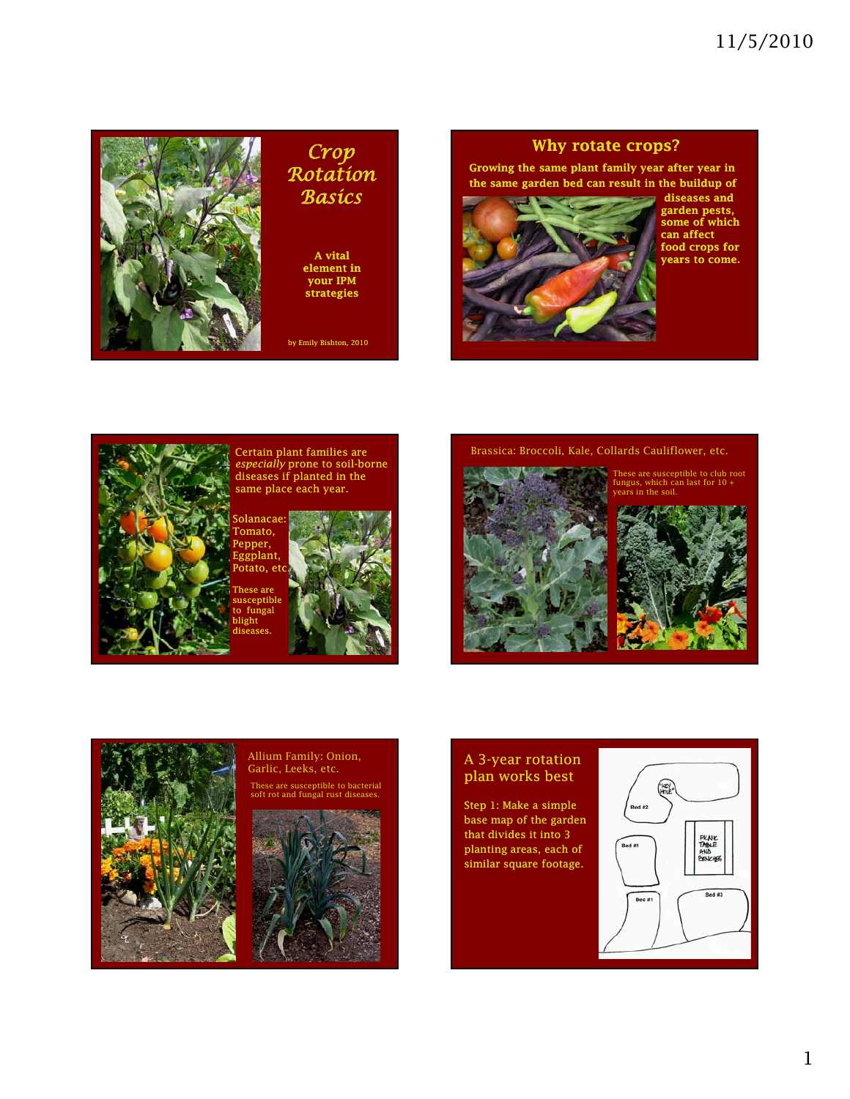

## *Crop Rotation Basics*

A vital element in your IPM strategies

by Emily Bishton, 2010

## Why rotate crops?

Growing the same plant family year after year in the same garden bed can result in the buildup of

Brassica: Broccoli, Kale, Collards Cauliflower, etc.



diseases and garden pests, some of which can affect food crops for years to come.



Certain plant families are *especially* prone to soil-borne diseases if planted in the same place each year.

Solanacae: Tomato, Pepper, Eggplant, otato, etc

se are eptible fungal blight diseases.





These are susceptible to club root fungus, which can last for 10 + in the soil.



## A 3-year rotation plan works best

Step 1: Make a simple base map of the garden that divides it into 3 planting areas, each of similar square footage.





Allium Family: Onion, Garlic, Leeks, etc. These are susceptible to bacterial soft rot and fungal rust diseases.